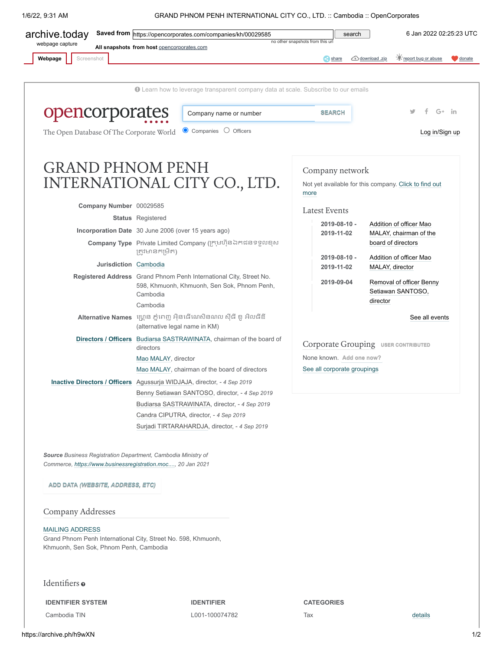1/6/22, 9:31 AM GRAND PHNOM PENH INTERNATIONAL CITY CO., LTD. :: Cambodia :: OpenCorporates

| Screenshot<br>Webpage                                                                                                        |                                                                                                 |                                                                                                                   |                                     | $\leq$ share                | : report bug or abuse<br>download .zip<br>donate          |  |  |
|------------------------------------------------------------------------------------------------------------------------------|-------------------------------------------------------------------------------------------------|-------------------------------------------------------------------------------------------------------------------|-------------------------------------|-----------------------------|-----------------------------------------------------------|--|--|
|                                                                                                                              |                                                                                                 | <b>O</b> Learn how to leverage transparent company data at scale. Subscribe to our emails                         |                                     |                             |                                                           |  |  |
| opencorporates                                                                                                               |                                                                                                 | Company name or number                                                                                            |                                     | <b>SEARCH</b>               | $G+$ in                                                   |  |  |
| The Open Database Of The Corporate World                                                                                     |                                                                                                 | ● Companies ○ Officers                                                                                            |                                     |                             | Log in/Sign up                                            |  |  |
| <b>GRAND PHNOM PENH</b>                                                                                                      |                                                                                                 | INTERNATIONAL CITY CO., LTD.                                                                                      | more                                | Company network             | Not yet available for this company. Click to find out     |  |  |
| Company Number 00029585                                                                                                      |                                                                                                 |                                                                                                                   |                                     |                             |                                                           |  |  |
|                                                                                                                              | <b>Status</b> Registered                                                                        |                                                                                                                   |                                     | <b>Latest Events</b>        |                                                           |  |  |
| Incorporation Date 30 June 2006 (over 15 years ago)                                                                          |                                                                                                 |                                                                                                                   |                                     | 2019-08-10 -<br>2019-11-02  | Addition of officer Mao<br>MALAY, chairman of the         |  |  |
|                                                                                                                              | ត្រូវមានកម្រិត)                                                                                 | Company Type Private Limited Company (ក្រុមហ៊ុនឯកជនទទួលខុស                                                        |                                     | 2019-08-10 -                | board of directors<br>Addition of officer Mao             |  |  |
|                                                                                                                              | <b>Jurisdiction</b> Cambodia                                                                    |                                                                                                                   |                                     | 2019-11-02                  | MALAY, director                                           |  |  |
|                                                                                                                              | Cambodia<br>Cambodia                                                                            | Registered Address Grand Phnom Penh International City, Street No.<br>598, Khmuonh, Khmuonh, Sen Sok, Phnom Penh, |                                     | 2019-09-04                  | Removal of officer Benny<br>Setiawan SANTOSO,<br>director |  |  |
|                                                                                                                              | (alternative legal name in KM)                                                                  | Alternative Names ហ្គ្រោន ភ្នំពេញ អ៊ិនធើណេសិនណល ស៊ីធី ខូ អិលធីឌី                                                  |                                     |                             | See all events                                            |  |  |
|                                                                                                                              | Directors / Officers Budiarsa SASTRAWINATA, chairman of the board of<br>directors               |                                                                                                                   | Corporate Grouping USER CONTRIBUTED |                             |                                                           |  |  |
|                                                                                                                              | Mao MALAY, director                                                                             |                                                                                                                   | None known. Add one now?            |                             |                                                           |  |  |
|                                                                                                                              |                                                                                                 | Mao MALAY, chairman of the board of directors                                                                     |                                     | See all corporate groupings |                                                           |  |  |
| Inactive Directors / Officers Agussurja WIDJAJA, director, - 4 Sep 2019                                                      |                                                                                                 |                                                                                                                   |                                     |                             |                                                           |  |  |
|                                                                                                                              | Benny Setiawan SANTOSO, director, - 4 Sep 2019<br>Budiarsa SASTRAWINATA, director, - 4 Sep 2019 |                                                                                                                   |                                     |                             |                                                           |  |  |
|                                                                                                                              | Candra CIPUTRA, director, - 4 Sep 2019                                                          |                                                                                                                   |                                     |                             |                                                           |  |  |
|                                                                                                                              |                                                                                                 | Surjadi TIRTARAHARDJA, director, - 4 Sep 2019                                                                     |                                     |                             |                                                           |  |  |
| Source Business Registration Department, Cambodia Ministry of<br>Commerce, https://www.businessregistration.moc, 20 Jan 2021 |                                                                                                 |                                                                                                                   |                                     |                             |                                                           |  |  |
| ADD DATA <i>(WEBSITE, ADDRESS, ETC)</i>                                                                                      |                                                                                                 |                                                                                                                   |                                     |                             |                                                           |  |  |
| Company Addresses                                                                                                            |                                                                                                 |                                                                                                                   |                                     |                             |                                                           |  |  |

<span id="page-0-0"></span>Khmuonh, Sen Sok, Phnom Penh, Cambodia

## Identifiers o

**IDENTIFIER SYSTEM IDENTIFIER CATEGORIES**

Cambodia TIN L001-100074782 Tax [details](https://archive.ph/o/h9wXN/https://opencorporates.com/statements/640244612)